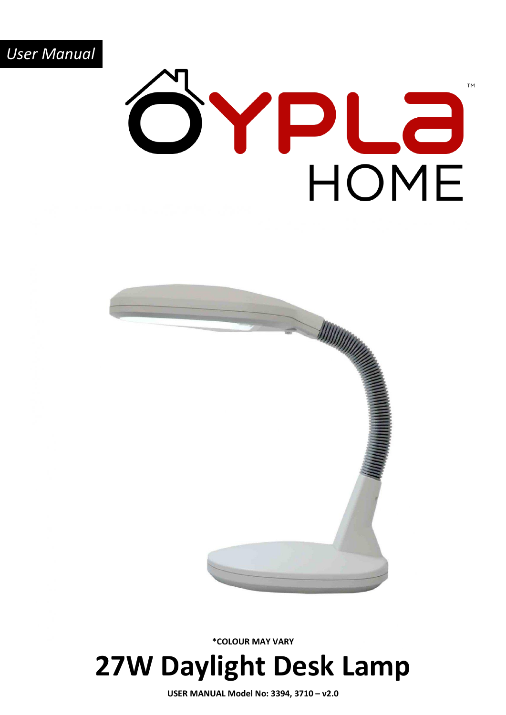

# **TM** SYPLa HOME



**27W Daylight Desk Lamp \*COLOUR MAY VARY**

**USER MANUAL Model No: 3394, 3710 – v2.0**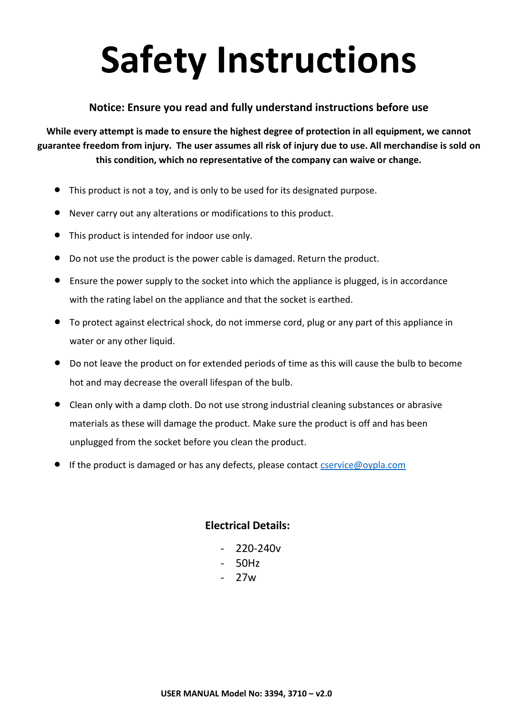## **Safety Instructions**

#### **Notice: Ensure you read and fully understand instructions before use**

**While every attempt is made to ensure the highest degree of protection in all equipment, we cannot guarantee freedom from injury. The user assumes all risk of injury due to use. All merchandise is sold on this condition, which no representative of the company can waive or change.**

- This product is not a toy, and is only to be used for its designated purpose.
- Never carry out any alterations or modifications to this product.
- This product is intended for indoor use only.
- Do not use the product is the power cable is damaged. Return the product.
- Ensure the power supply to the socket into which the appliance is plugged, is in accordance with the rating label on the appliance and that the socket is earthed.
- To protect against electrical shock, do not immerse cord, plug or any part of this appliance in water or any other liquid.
- Do not leave the product on for extended periods of time as this will cause the bulb to become hot and may decrease the overall lifespan of the bulb.
- Clean only with a damp cloth. Do not use strong industrial cleaning substances or abrasive materials as these will damage the product. Make sure the product is off and has been unplugged from the socket before you clean the product.
- If the product is damaged or has any defects, please contact [cservice@oypla.com](mailto:cservice@oypla.com)

#### **Electrical Details:**

- 220-240v
- 50Hz
- 27w